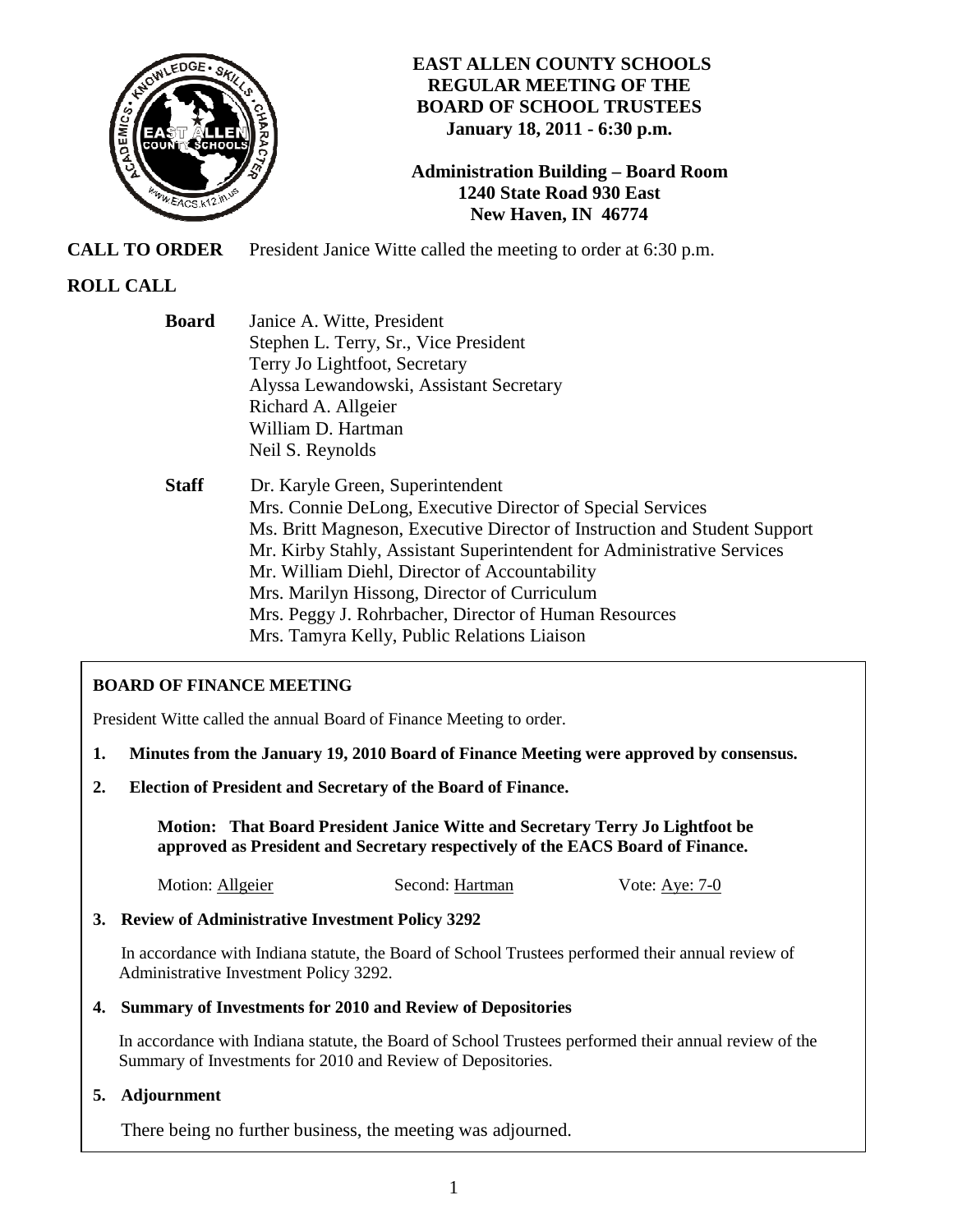

# **EAST ALLEN COUNTY SCHOOLS REGULAR MEETING OF THE BOARD OF SCHOOL TRUSTEES January 18, 2011 - 6:30 p.m.**

# **Administration Building – Board Room 1240 State Road 930 East New Haven, IN 46774**

**CALL TO ORDER** President Janice Witte called the meeting to order at 6:30 p.m.

# **ROLL CALL**

 **Board** Janice A. Witte, President Stephen L. Terry, Sr., Vice President Terry Jo Lightfoot, Secretary Alyssa Lewandowski, Assistant Secretary Richard A. Allgeier William D. Hartman Neil S. Reynolds

 **Staff** Dr. Karyle Green, Superintendent Mrs. Connie DeLong, Executive Director of Special Services Ms. Britt Magneson, Executive Director of Instruction and Student Support Mr. Kirby Stahly, Assistant Superintendent for Administrative Services Mr. William Diehl, Director of Accountability Mrs. Marilyn Hissong, Director of Curriculum Mrs. Peggy J. Rohrbacher, Director of Human Resources Mrs. Tamyra Kelly, Public Relations Liaison

# **BOARD OF FINANCE MEETING**

President Witte called the annual Board of Finance Meeting to order.

- **1. Minutes from the January 19, 2010 Board of Finance Meeting were approved by consensus.**
- **2. Election of President and Secretary of the Board of Finance.**

 **Motion: That Board President Janice Witte and Secretary Terry Jo Lightfoot be approved as President and Secretary respectively of the EACS Board of Finance.** 

Motion: Allgeier Second: Hartman Vote: Aye: 7-0

**3. Review of Administrative Investment Policy 3292** 

In accordance with Indiana statute, the Board of School Trustees performed their annual review of Administrative Investment Policy 3292.

## **4. Summary of Investments for 2010 and Review of Depositories**

 In accordance with Indiana statute, the Board of School Trustees performed their annual review of the Summary of Investments for 2010 and Review of Depositories.

## **5. Adjournment**

There being no further business, the meeting was adjourned.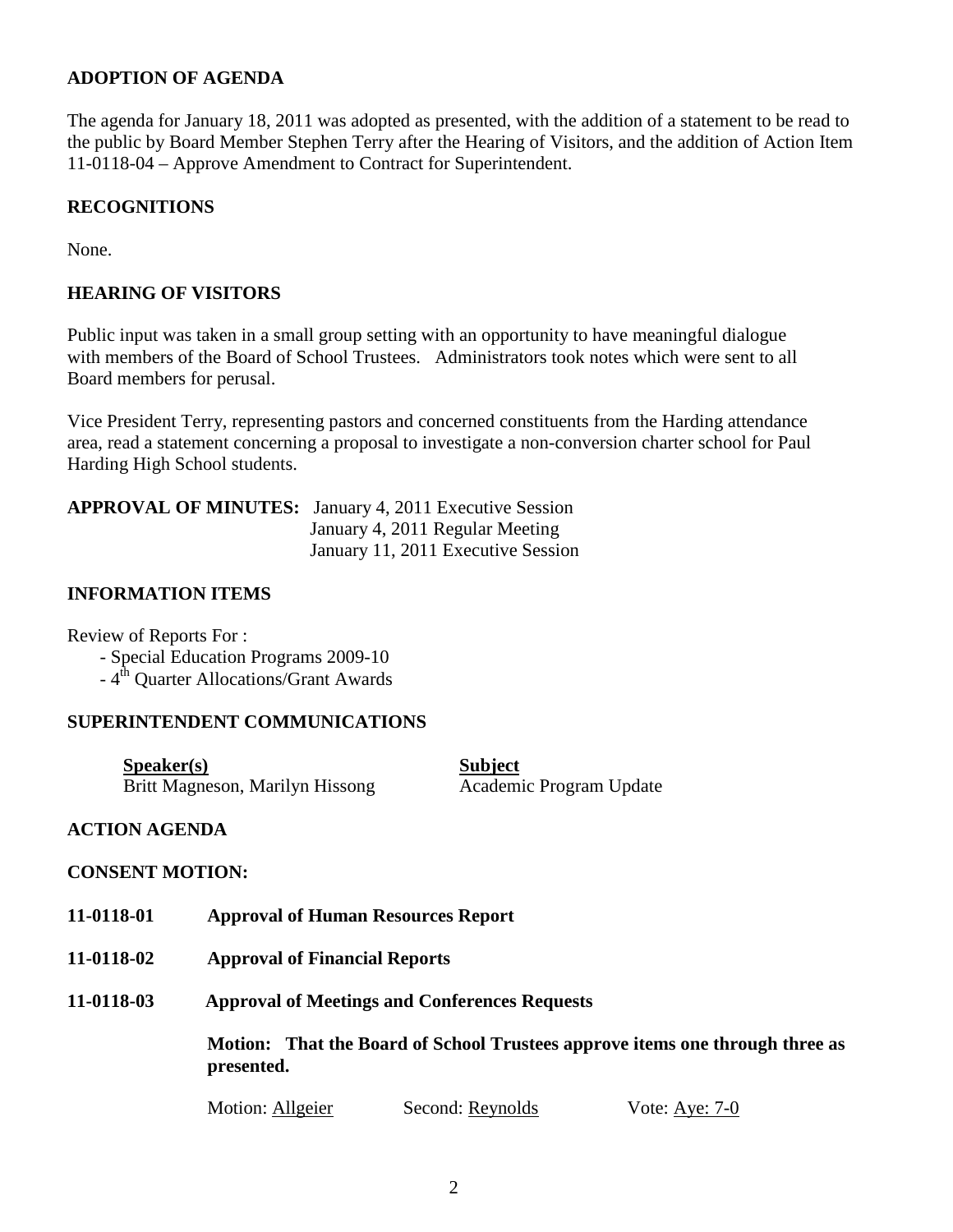## **ADOPTION OF AGENDA**

The agenda for January 18, 2011 was adopted as presented, with the addition of a statement to be read to the public by Board Member Stephen Terry after the Hearing of Visitors, and the addition of Action Item 11-0118-04 – Approve Amendment to Contract for Superintendent.

## **RECOGNITIONS**

None.

## **HEARING OF VISITORS**

Public input was taken in a small group setting with an opportunity to have meaningful dialogue with members of the Board of School Trustees. Administrators took notes which were sent to all Board members for perusal.

Vice President Terry, representing pastors and concerned constituents from the Harding attendance area, read a statement concerning a proposal to investigate a non-conversion charter school for Paul Harding High School students.

| <b>APPROVAL OF MINUTES:</b> January 4, 2011 Executive Session |
|---------------------------------------------------------------|
| January 4, 2011 Regular Meeting                               |
| January 11, 2011 Executive Session                            |

## **INFORMATION ITEMS**

Review of Reports For : - Special Education Programs 2009-10  $-4<sup>th</sup>$  Quarter Allocations/Grant Awards

## **SUPERINTENDENT COMMUNICATIONS**

| S <sub>p</sub> e <sub>aker(s)</sub> | <b>Subject</b>          |
|-------------------------------------|-------------------------|
| Britt Magneson, Marilyn Hissong     | Academic Program Update |

## **ACTION AGENDA**

## **CONSENT MOTION:**

- **11-0118-01 Approval of Human Resources Report**
- **11-0118-02 Approval of Financial Reports**
- **11-0118-03 Approval of Meetings and Conferences Requests**

**Motion: That the Board of School Trustees approve items one through three as presented.** 

Motion: Allgeier Second: Reynolds Vote: Aye: 7-0